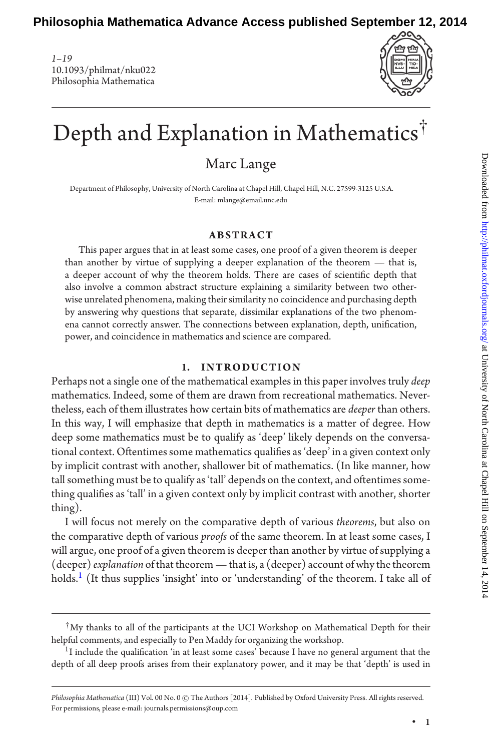*1–19* 10.1093/philmat/nku022 Philosophia Mathematica



# Depth and Explanation in Mathematics†

Marc Lange

Department of Philosophy, University of North Carolina at Chapel Hill, Chapel Hill, N.C. 27599-3125 U.S.A. E-mail: mlange@email.unc.edu

### **ABSTRACT**

This paper argues that in at least some cases, one proof of a given theorem is deeper than another by virtue of supplying a deeper explanation of the theorem — that is, a deeper account of why the theorem holds. There are cases of scientific depth that also involve a common abstract structure explaining a similarity between two otherwise unrelated phenomena, making their similarity no coincidence and purchasing depth by answering why questions that separate, dissimilar explanations of the two phenomena cannot correctly answer. The connections between explanation, depth, unification, power, and coincidence in mathematics and science are compared.

### **1. INTRODUCT ION**

Perhaps not a single one of the mathematical examples in this paper involves truly *deep* mathematics. Indeed, some of them are drawn from recreational mathematics. Nevertheless, each of them illustrates how certain bits of mathematics are *deeper* than others. In this way, I will emphasize that depth in mathematics is a matter of degree. How deep some mathematics must be to qualify as 'deep' likely depends on the conversational context. Oftentimes some mathematics qualifies as 'deep' in a given context only by implicit contrast with another, shallower bit of mathematics. (In like manner, how tall something must be to qualify as 'tall' depends on the context, and oftentimes something qualifies as 'tall' in a given context only by implicit contrast with another, shorter thing).

I will focus not merely on the comparative depth of various *theorems*, but also on the comparative depth of various *proofs* of the same theorem. In at least some cases, I will argue, one proof of a given theorem is deeper than another by virtue of supplying a (deeper) *explanation* of that theorem— that is, a (deeper) account of why the theorem holds.<sup>[1](#page-0-0)</sup> (It thus supplies 'insight' into or 'understanding' of the theorem. I take all of

<sup>†</sup>My thanks to all of the participants at the UCI Workshop on Mathematical Depth for their helpful comments, and especially to Pen Maddy for organizing the workshop.

<span id="page-0-0"></span> $<sup>1</sup>I$  include the qualification 'in at least some cases' because I have no general argument that the</sup> depth of all deep proofs arises from their explanatory power, and it may be that 'depth' is used in

Philosophia Mathematica (III) Vol. 00 No. 0 © The Authors [2014]. Published by Oxford University Press. All rights reserved. For permissions, please e-mail: journals.permissions@oup.com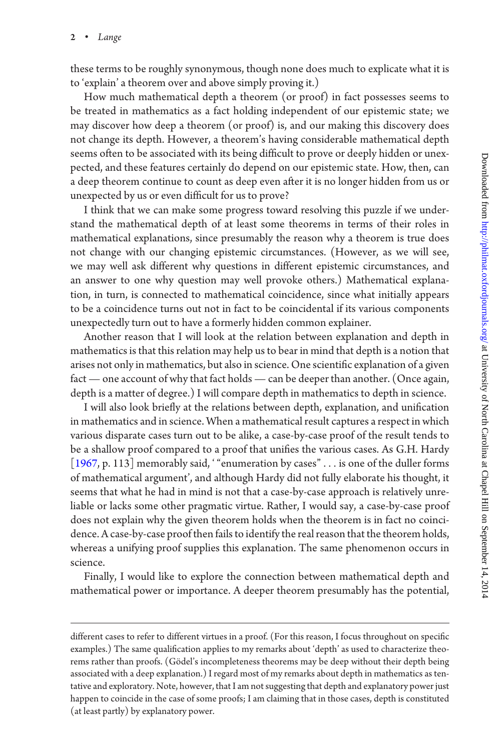these terms to be roughly synonymous, though none does much to explicate what it is to 'explain' a theorem over and above simply proving it.)

How much mathematical depth a theorem (or proof) in fact possesses seems to be treated in mathematics as a fact holding independent of our epistemic state; we may discover how deep a theorem (or proof) is, and our making this discovery does not change its depth. However, a theorem's having considerable mathematical depth seems often to be associated with its being difficult to prove or deeply hidden or unexpected, and these features certainly do depend on our epistemic state. How, then, can a deep theorem continue to count as deep even after it is no longer hidden from us or unexpected by us or even difficult for us to prove?

I think that we can make some progress toward resolving this puzzle if we understand the mathematical depth of at least some theorems in terms of their roles in mathematical explanations, since presumably the reason why a theorem is true does not change with our changing epistemic circumstances. (However, as we will see, we may well ask different why questions in different epistemic circumstances, and an answer to one why question may well provoke others.) Mathematical explanation, in turn, is connected to mathematical coincidence, since what initially appears to be a coincidence turns out not in fact to be coincidental if its various components unexpectedly turn out to have a formerly hidden common explainer.

Another reason that I will look at the relation between explanation and depth in mathematics is that this relation may help us to bear in mind that depth is a notion that arises not only in mathematics, but also in science. One scientific explanation of a given fact — one account of why that fact holds — can be deeper than another. (Once again, depth is a matter of degree.) I will compare depth in mathematics to depth in science.

I will also look briefly at the relations between depth, explanation, and unification in mathematics and in science. When a mathematical result captures a respect in which various disparate cases turn out to be alike, a case-by-case proof of the result tends to be a shallow proof compared to a proof that unifies the various cases. As G.H. Hardy [\[1967](#page-17-0), p. 113] memorably said, "enumeration by cases" . . . is one of the duller forms of mathematical argument', and although Hardy did not fully elaborate his thought, it seems that what he had in mind is not that a case-by-case approach is relatively unreliable or lacks some other pragmatic virtue. Rather, I would say, a case-by-case proof does not explain why the given theorem holds when the theorem is in fact no coincidence. A case-by-case proof then fails to identify the real reason that the theorem holds, whereas a unifying proof supplies this explanation. The same phenomenon occurs in science.

Finally, I would like to explore the connection between mathematical depth and mathematical power or importance. A deeper theorem presumably has the potential,

different cases to refer to different virtues in a proof. (For this reason, I focus throughout on specific examples.) The same qualification applies to my remarks about 'depth' as used to characterize theorems rather than proofs. (Gödel's incompleteness theorems may be deep without their depth being associated with a deep explanation.) I regard most of my remarks about depth in mathematics as tentative and exploratory. Note, however, that I am not suggesting that depth and explanatory power just happen to coincide in the case of some proofs; I am claiming that in those cases, depth is constituted (at least partly) by explanatory power.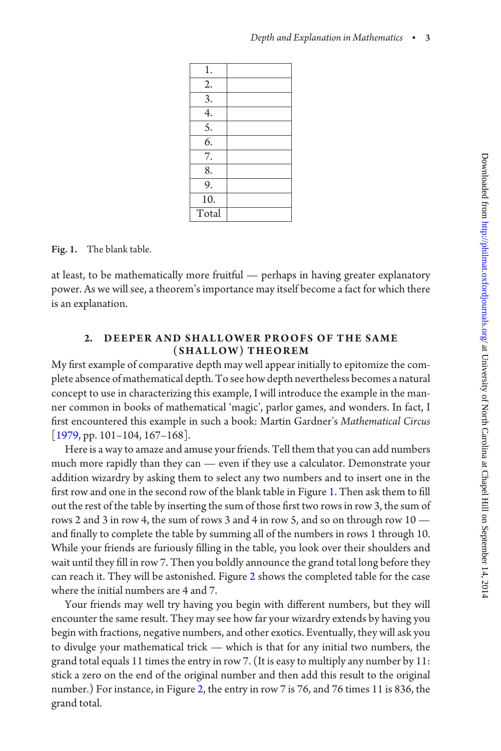| 1.               |  |
|------------------|--|
| $\mathbf{2}$ .   |  |
| 3.               |  |
| 4.               |  |
| $\overline{5}$ . |  |
| $\overline{6}$ . |  |
| 7.               |  |
| 8.               |  |
| 9.               |  |
| 10.              |  |
| Total            |  |

<span id="page-2-0"></span>Fig. 1. The blank table.

at least, to be mathematically more fruitful — perhaps in having greater explanatory power. As we will see, a theorem's importance may itself become a fact for which there is an explanation.

# **2. DEEPER AND SHALLOWER PROOFS OF THE SAME (SHALLOW) THEOREM**

My first example of comparative depth may well appear initially to epitomize the complete absence of mathematical depth. To see how depth nevertheless becomes a natural concept to use in characterizing this example, I will introduce the example in the manner common in books of mathematical 'magic', parlor games, and wonders. In fact, I first encountered this example in such a book: Martin Gardner's *Mathematical Circus*  $[1979, pp. 101–104, 167–168]$  $[1979, pp. 101–104, 167–168]$ .

Here is a way to amaze and amuse your friends. Tell them that you can add numbers much more rapidly than they can — even if they use a calculator. Demonstrate your addition wizardry by asking them to select any two numbers and to insert one in the first row and one in the second row of the blank table in Figure [1.](#page-2-0) Then ask them to fill out the rest of the table by inserting the sum of those first two rows in row 3, the sum of rows 2 and 3 in row 4, the sum of rows 3 and 4 in row 5, and so on through row 10 and finally to complete the table by summing all of the numbers in rows 1 through 10. While your friends are furiously filling in the table, you look over their shoulders and wait until they fill in row 7. Then you boldly announce the grand total long before they can reach it. They will be astonished. Figure [2](#page-3-0) shows the completed table for the case where the initial numbers are 4 and 7.

Your friends may well try having you begin with different numbers, but they will encounter the same result. They may see how far your wizardry extends by having you begin with fractions, negative numbers, and other exotics. Eventually, they will ask you to divulge your mathematical trick — which is that for any initial two numbers, the grand total equals 11 times the entry in row 7. (It is easy to multiply any number by 11: stick a zero on the end of the original number and then add this result to the original number.) For instance, in Figure [2,](#page-3-0) the entry in row 7 is 76, and 76 times 11 is 836, the grand total.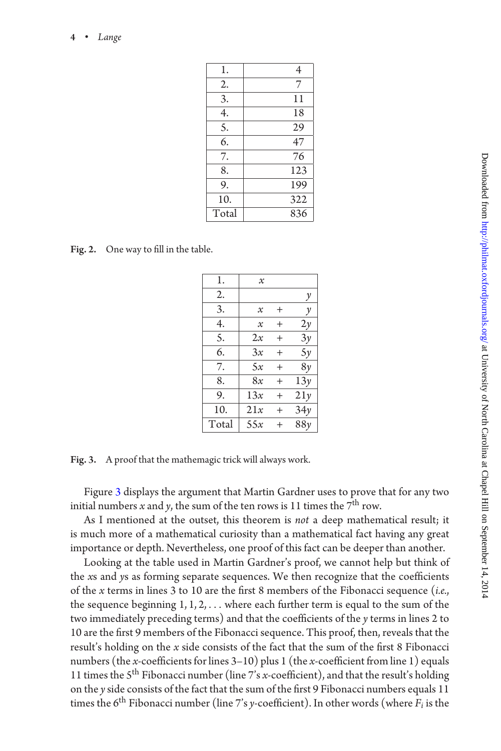| 1.    | 4   |
|-------|-----|
| 2.    | 7   |
| 3.    | 11  |
| 4.    | 18  |
| 5.    | 29  |
| 6.    | 47  |
| 7.    | 76  |
| 8.    | 123 |
| 9.    | 199 |
| 10.   | 322 |
| Total | 836 |
|       |     |

<span id="page-3-0"></span>Fig. 2. One way to fill in the table.

| 1.    | $\mathcal{X}$ |        |               |
|-------|---------------|--------|---------------|
| 2.    |               |        | y             |
| 3.    | $\mathcal{X}$ | $^{+}$ | $\mathcal{Y}$ |
| 4.    | $\mathcal{X}$ | $^{+}$ | 2y            |
| 5.    | 2x            | $^{+}$ | 3y            |
| 6.    | 3x            | $^{+}$ | 5y            |
| 7.    | 5x            | $^{+}$ | 8y            |
| 8.    | 8x            | $^{+}$ | 13y           |
| 9.    | 13x           | $^{+}$ | 21y           |
| 10.   | 21x           | $^{+}$ | 34y           |
| Total | 55x           | $^{+}$ | 88y           |

<span id="page-3-1"></span>Fig. 3. A proof that the mathemagic trick will always work.

Figure [3](#page-3-1) displays the argument that Martin Gardner uses to prove that for any two initial numbers  $x$  and  $y$ , the sum of the ten rows is 11 times the  $7<sup>th</sup>$  row.

As I mentioned at the outset, this theorem is *not* a deep mathematical result; it is much more of a mathematical curiosity than a mathematical fact having any great importance or depth. Nevertheless, one proof of this fact can be deeper than another.

Looking at the table used in Martin Gardner's proof, we cannot help but think of the *x*s and *y*s as forming separate sequences. We then recognize that the coefficients of the *x* terms in lines 3 to 10 are the first 8 members of the Fibonacci sequence (*i.e.*, the sequence beginning 1, 1, 2, ... where each further term is equal to the sum of the two immediately preceding terms) and that the coefficients of the *y* terms in lines 2 to 10 are the first 9 members of the Fibonacci sequence. This proof, then, reveals that the result's holding on the *x* side consists of the fact that the sum of the first 8 Fibonacci numbers (the *x*-coefficients for lines 3–10) plus 1 (the *x*-coefficient from line 1) equals 11 times the 5th Fibonacci number (line 7's *x*-coefficient), and that the result's holding on the *y*side consists of the fact that the sum of the first 9 Fibonacci numbers equals 11 times the 6<sup>th</sup> Fibonacci number (line 7's y-coefficient). In other words (where  $F_i$  is the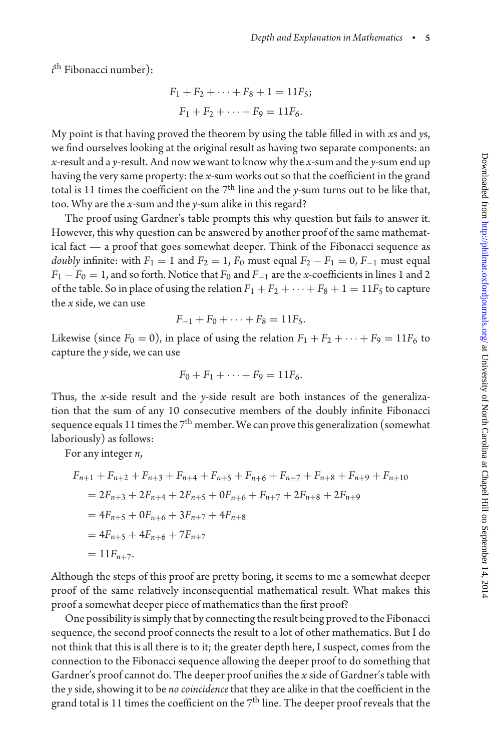*i* th Fibonacci number):

$$
F_1 + F_2 + \dots + F_8 + 1 = 11F_5;
$$
  

$$
F_1 + F_2 + \dots + F_9 = 11F_6.
$$

My point is that having proved the theorem by using the table filled in with *x*s and *y*s, we find ourselves looking at the original result as having two separate components: an *x*-result and a *y*-result. And now we want to know why the *x*-sum and the *y*-sum end up having the very same property: the *x*-sum works out so that the coefficient in the grand total is 11 times the coefficient on the  $7<sup>th</sup>$  line and the *y*-sum turns out to be like that, too. Why are the *x*-sum and the *y*-sum alike in this regard?

The proof using Gardner's table prompts this why question but fails to answer it. However, this why question can be answered by another proof of the same mathematical fact — a proof that goes somewhat deeper. Think of the Fibonacci sequence as *doubly* infinite: with  $F_1 = 1$  and  $F_2 = 1$ ,  $F_0$  must equal  $F_2 - F_1 = 0$ ,  $F_{-1}$  must equal  $F_1 - F_0 = 1$ , and so forth. Notice that  $F_0$  and  $F_{-1}$  are the *x*-coefficients in lines 1 and 2 of the table. So in place of using the relation  $F_1 + F_2 + \cdots + F_8 + 1 = 11F_5$  to capture the *x* side, we can use

$$
F_{-1} + F_0 + \cdots + F_8 = 11F_5.
$$

Likewise (since  $F_0 = 0$ ), in place of using the relation  $F_1 + F_2 + \cdots + F_9 = 11F_6$  to capture the *y*side, we can use

$$
F_0 + F_1 + \cdots + F_9 = 11F_6.
$$

Thus, the *x*-side result and the *y*-side result are both instances of the generalization that the sum of any 10 consecutive members of the doubly infinite Fibonacci sequence equals 11 times the  $7<sup>th</sup>$  member. We can prove this generalization (somewhat laboriously) as follows:

For any integer *n*,

$$
F_{n+1} + F_{n+2} + F_{n+3} + F_{n+4} + F_{n+5} + F_{n+6} + F_{n+7} + F_{n+8} + F_{n+9} + F_{n+10}
$$
  
=  $2F_{n+3} + 2F_{n+4} + 2F_{n+5} + 0F_{n+6} + F_{n+7} + 2F_{n+8} + 2F_{n+9}$   
=  $4F_{n+5} + 0F_{n+6} + 3F_{n+7} + 4F_{n+8}$   
=  $4F_{n+5} + 4F_{n+6} + 7F_{n+7}$   
=  $11F_{n+7}$ .

Although the steps of this proof are pretty boring, it seems to me a somewhat deeper proof of the same relatively inconsequential mathematical result. What makes this proof a somewhat deeper piece of mathematics than the first proof?

One possibility is simply that by connecting the result being proved to the Fibonacci sequence, the second proof connects the result to a lot of other mathematics. But I do not think that this is all there is to it; the greater depth here, I suspect, comes from the connection to the Fibonacci sequence allowing the deeper proof to do something that Gardner's proof cannot do. The deeper proof unifies the *x* side of Gardner's table with the *y*side, showing it to be *no coincidence*that they are alike in that the coefficient in the grand total is 11 times the coefficient on the  $7<sup>th</sup>$  line. The deeper proof reveals that the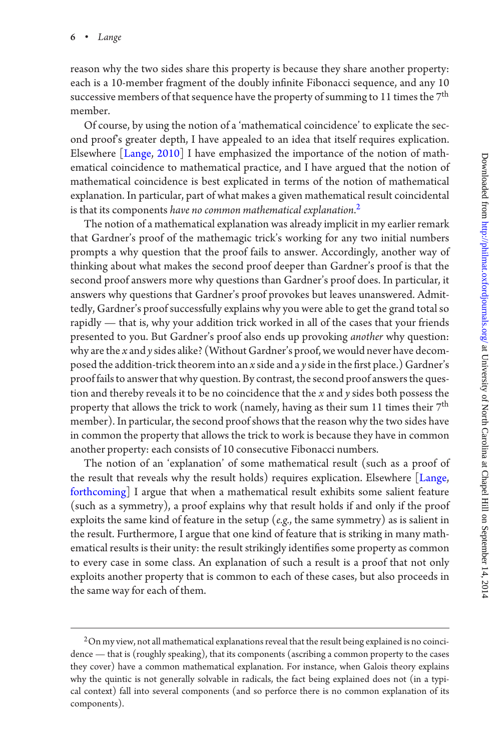reason why the two sides share this property is because they share another property: each is a 10-member fragment of the doubly infinite Fibonacci sequence, and any 10 successive members of that sequence have the property of summing to 11 times the  $7<sup>th</sup>$ member.

Of course, by using the notion of a 'mathematical coincidence' to explicate the second proof's greater depth, I have appealed to an idea that itself requires explication. Elsewhere [\[Lange,](#page-17-2) [2010\]](#page-17-2) I have emphasized the importance of the notion of mathematical coincidence to mathematical practice, and I have argued that the notion of mathematical coincidence is best explicated in terms of the notion of mathematical explanation. In particular, part of what makes a given mathematical result coincidental is that its components *have no common mathematical explanation*. [2](#page-5-0)

The notion of a mathematical explanation was already implicit in my earlier remark that Gardner's proof of the mathemagic trick's working for any two initial numbers prompts a why question that the proof fails to answer. Accordingly, another way of thinking about what makes the second proof deeper than Gardner's proof is that the second proof answers more why questions than Gardner's proof does. In particular, it answers why questions that Gardner's proof provokes but leaves unanswered. Admittedly, Gardner's proof successfully explains why you were able to get the grand total so rapidly — that is, why your addition trick worked in all of the cases that your friends presented to you. But Gardner's proof also ends up provoking *another* why question: why are the *x* and *y*sides alike? (Without Gardner's proof, we would never have decomposed the addition-trick theorem into an *x* side and a *y*side in the first place.) Gardner's proof fails to answer that why question. By contrast, the second proof answers the question and thereby reveals it to be no coincidence that the *x* and *y* sides both possess the property that allows the trick to work (namely, having as their sum 11 times their  $7<sup>th</sup>$ member). In particular, the second proof shows that the reason why the two sides have in common the property that allows the trick to work is because they have in common another property: each consists of 10 consecutive Fibonacci numbers.

The notion of an 'explanation' of some mathematical result (such as a proof of the result that reveals why the result holds) requires explication. Elsewhere [\[Lange,](#page-18-0) [forthcoming](#page-18-0)] I argue that when a mathematical result exhibits some salient feature (such as a symmetry), a proof explains why that result holds if and only if the proof exploits the same kind of feature in the setup (*e.g.*, the same symmetry) as is salient in the result. Furthermore, I argue that one kind of feature that is striking in many mathematical results is their unity: the result strikingly identifies some property as common to every case in some class. An explanation of such a result is a proof that not only exploits another property that is common to each of these cases, but also proceeds in the same way for each of them.

<span id="page-5-0"></span> $2$ On my view, not all mathematical explanations reveal that the result being explained is no coincidence — that is (roughly speaking), that its components (ascribing a common property to the cases they cover) have a common mathematical explanation. For instance, when Galois theory explains why the quintic is not generally solvable in radicals, the fact being explained does not (in a typical context) fall into several components (and so perforce there is no common explanation of its components).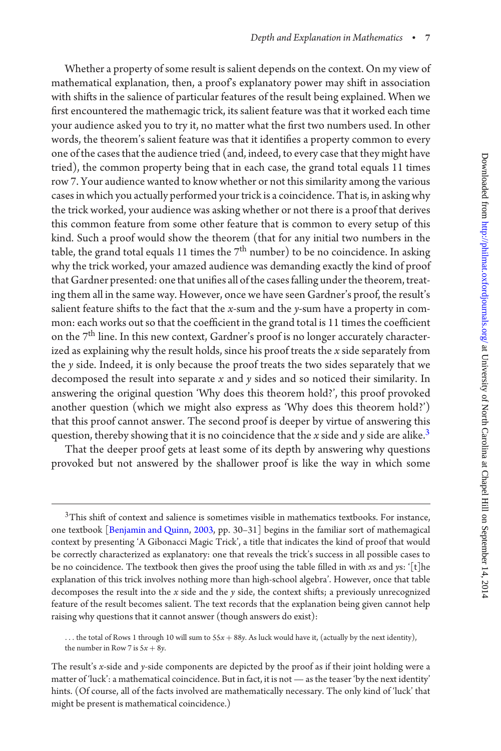Whether a property of some result is salient depends on the context. On my view of mathematical explanation, then, a proof's explanatory power may shift in association with shifts in the salience of particular features of the result being explained. When we first encountered the mathemagic trick, its salient feature was that it worked each time your audience asked you to try it, no matter what the first two numbers used. In other words, the theorem's salient feature was that it identifies a property common to every one of the cases that the audience tried (and, indeed, to every case that they might have tried), the common property being that in each case, the grand total equals 11 times row 7. Your audience wanted to know whether or not this similarity among the various cases in which you actually performed your trick is a coincidence. That is, in asking why the trick worked, your audience was asking whether or not there is a proof that derives this common feature from some other feature that is common to every setup of this kind. Such a proof would show the theorem (that for any initial two numbers in the table, the grand total equals 11 times the  $7<sup>th</sup>$  number) to be no coincidence. In asking why the trick worked, your amazed audience was demanding exactly the kind of proof that Gardner presented: one that unifies all of the cases falling under the theorem, treating them all in the same way. However, once we have seen Gardner's proof, the result's salient feature shifts to the fact that the *x*-sum and the *y*-sum have a property in common: each works out so that the coefficient in the grand total is 11 times the coefficient on the  $7<sup>th</sup>$  line. In this new context, Gardner's proof is no longer accurately characterized as explaining why the result holds, since his proof treats the *x* side separately from the *y* side. Indeed, it is only because the proof treats the two sides separately that we decomposed the result into separate *x* and *y* sides and so noticed their similarity. In answering the original question 'Why does this theorem hold?', this proof provoked another question (which we might also express as 'Why does this theorem hold?') that this proof cannot answer. The second proof is deeper by virtue of answering this question, thereby showing that it is no coincidence that the *x* side and *y* side are alike.<sup>3</sup>

That the deeper proof gets at least some of its depth by answering why questions provoked but not answered by the shallower proof is like the way in which some

<span id="page-6-0"></span> $3$ This shift of context and salience is sometimes visible in mathematics textbooks. For instance, one textbook [\[Benjamin and Quinn](#page-17-3), [2003](#page-17-3), pp. 30–31] begins in the familiar sort of mathemagical context by presenting 'A Gibonacci Magic Trick', a title that indicates the kind of proof that would be correctly characterized as explanatory: one that reveals the trick's success in all possible cases to be no coincidence. The textbook then gives the proof using the table filled in with *x*s and *y*s: '[t]he explanation of this trick involves nothing more than high-school algebra'. However, once that table decomposes the result into the *x* side and the *y* side, the context shifts; a previously unrecognized feature of the result becomes salient. The text records that the explanation being given cannot help raising why questions that it cannot answer (though answers do exist):

<sup>...</sup> the total of Rows 1 through 10 will sum to  $55x + 88y$ . As luck would have it, (actually by the next identity), the number in Row 7 is  $5x + 8y$ .

The result's *x*-side and *y*-side components are depicted by the proof as if their joint holding were a matter of 'luck': a mathematical coincidence. But in fact, it is not — as the teaser 'by the next identity' hints. (Of course, all of the facts involved are mathematically necessary. The only kind of 'luck' that might be present is mathematical coincidence.)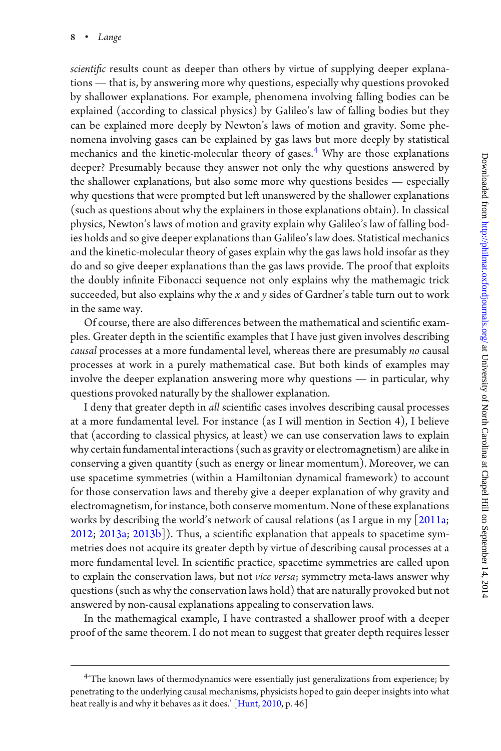*scientific* results count as deeper than others by virtue of supplying deeper explanations — that is, by answering more why questions, especially why questions provoked by shallower explanations. For example, phenomena involving falling bodies can be explained (according to classical physics) by Galileo's law of falling bodies but they can be explained more deeply by Newton's laws of motion and gravity. Some phenomena involving gases can be explained by gas laws but more deeply by statistical mechanics and the kinetic-molecular theory of gases.<sup>4</sup> Why are those explanations deeper? Presumably because they answer not only the why questions answered by the shallower explanations, but also some more why questions besides — especially why questions that were prompted but left unanswered by the shallower explanations (such as questions about why the explainers in those explanations obtain). In classical physics, Newton's laws of motion and gravity explain why Galileo's law of falling bodies holds and so give deeper explanations than Galileo's law does. Statistical mechanics and the kinetic-molecular theory of gases explain why the gas laws hold insofar as they do and so give deeper explanations than the gas laws provide. The proof that exploits the doubly infinite Fibonacci sequence not only explains why the mathemagic trick succeeded, but also explains why the *x* and *y* sides of Gardner's table turn out to work in the same way.

Of course, there are also differences between the mathematical and scientific examples. Greater depth in the scientific examples that I have just given involves describing *causal* processes at a more fundamental level, whereas there are presumably *no* causal processes at work in a purely mathematical case. But both kinds of examples may involve the deeper explanation answering more why questions — in particular, why questions provoked naturally by the shallower explanation.

I deny that greater depth in *all* scientific cases involves describing causal processes at a more fundamental level. For instance (as I will mention in Section 4), I believe that (according to classical physics, at least) we can use conservation laws to explain why certain fundamental interactions (such as gravity or electromagnetism) are alike in conserving a given quantity (such as energy or linear momentum). Moreover, we can use spacetime symmetries (within a Hamiltonian dynamical framework) to account for those conservation laws and thereby give a deeper explanation of why gravity and electromagnetism, for instance, both conserve momentum. None of these explanations works by describing the world's network of causal relations (as I argue in my [\[2011a](#page-17-4); [2012](#page-18-1); [2013a;](#page-18-2) [2013b](#page-18-3)]). Thus, a scientific explanation that appeals to spacetime symmetries does not acquire its greater depth by virtue of describing causal processes at a more fundamental level. In scientific practice, spacetime symmetries are called upon to explain the conservation laws, but not *vice versa*; symmetry meta-laws answer why questions (such as why the conservation laws hold) that are naturally provoked but not answered by non-causal explanations appealing to conservation laws.

In the mathemagical example, I have contrasted a shallower proof with a deeper proof of the same theorem. I do not mean to suggest that greater depth requires lesser

<span id="page-7-0"></span><sup>&</sup>lt;sup>4</sup>'The known laws of thermodynamics were essentially just generalizations from experience; by penetrating to the underlying causal mechanisms, physicists hoped to gain deeper insights into what heat really is and why it behaves as it does.' [\[Hunt](#page-17-5), [2010,](#page-17-5) p. 46]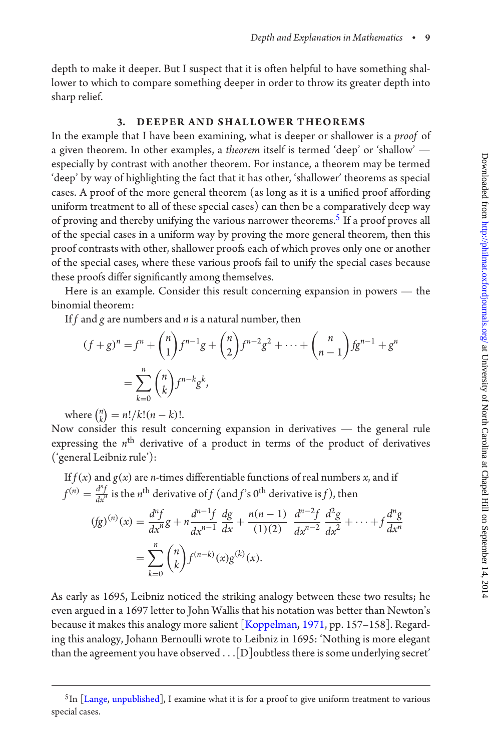depth to make it deeper. But I suspect that it is often helpful to have something shallower to which to compare something deeper in order to throw its greater depth into sharp relief.

## **3. DEEPER AND SHALLOWER THEOREMS**

In the example that I have been examining, what is deeper or shallower is a *proof* of a given theorem. In other examples, a *theorem* itself is termed 'deep' or 'shallow' especially by contrast with another theorem. For instance, a theorem may be termed 'deep' by way of highlighting the fact that it has other, 'shallower' theorems as special cases. A proof of the more general theorem (as long as it is a unified proof affording uniform treatment to all of these special cases) can then be a comparatively deep way of proving and thereby unifying the various narrower theorems.<sup>5</sup> If a proof proves all of the special cases in a uniform way by proving the more general theorem, then this proof contrasts with other, shallower proofs each of which proves only one or another of the special cases, where these various proofs fail to unify the special cases because these proofs differ significantly among themselves.

Here is an example. Consider this result concerning expansion in powers — the binomial theorem:

If *f* and *g* are numbers and *n* is a natural number, then

$$
(f+g)^n = f^n + {n \choose 1} f^{n-1}g + {n \choose 2} f^{n-2}g^2 + \dots + {n \choose n-1} fg^{n-1} + g^n
$$
  
= 
$$
\sum_{k=0}^n {n \choose k} f^{n-k}g^k,
$$

where  $\binom{n}{k} = \frac{n!}{k!(n-k)!}$ .

Now consider this result concerning expansion in derivatives — the general rule expressing the  $n<sup>th</sup>$  derivative of a product in terms of the product of derivatives ('general Leibniz rule'):

If  $f(x)$  and  $g(x)$  are *n*-times differentiable functions of real numbers *x*, and if  $f^{(n)} = \frac{d^n f}{dx^n}$  is the *n*<sup>th</sup> derivative of *f* (and *f*'s 0<sup>th</sup> derivative is *f*), then  $(fg)^{(n)}(x) = \frac{d^n f}{dx^n}g + n$ *dn*−1*f dxn*−<sup>1</sup>  $\frac{dg}{dx} + \frac{n(n-1)}{(1)(2)}$ *dn*−2*f dxn*−<sup>2</sup> *d*2*g*  $\frac{d^2}{dx^2} + \cdots + f$ *dng dxn*  $=\sum^{n}$ *k*=0 - *n k*  $\int f^{(n-k)}(x)g^{(k)}(x).$ 

As early as 1695, Leibniz noticed the striking analogy between these two results; he even argued in a 1697 letter to John Wallis that his notation was better than Newton's because it makes this analogy more salient [\[Koppelman,](#page-17-6) [1971,](#page-17-6) pp. 157-158]. Regarding this analogy, Johann Bernoulli wrote to Leibniz in 1695: 'Nothing is more elegant than the agreement you have observed ...[D]oubtless there is some underlying secret'

<span id="page-8-0"></span><sup>&</sup>lt;sup>5</sup>In [\[Lange](#page-18-4), [unpublished](#page-18-4)], I examine what it is for a proof to give uniform treatment to various special cases.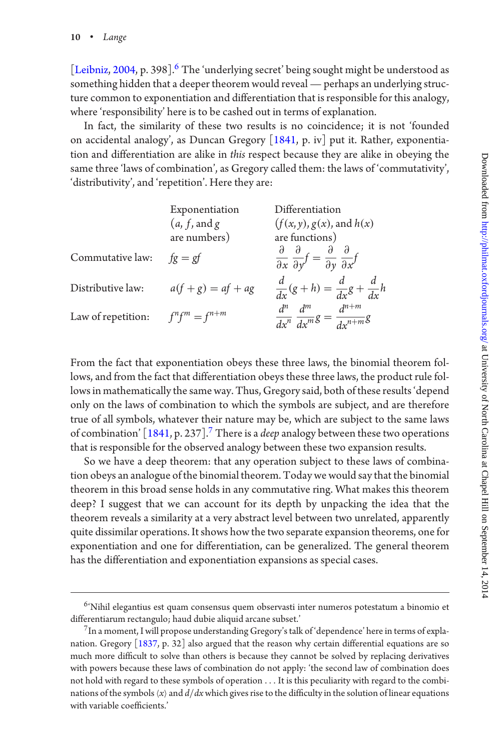[\[Leibniz,](#page-18-5) [2004,](#page-18-5) p. 398].<sup>6</sup> The 'underlying secret' being sought might be understood as something hidden that a deeper theorem would reveal — perhaps an underlying structure common to exponentiation and differentiation that is responsible for this analogy, where 'responsibility' here is to be cashed out in terms of explanation.

In fact, the similarity of these two results is no coincidence; it is not 'founded on accidental analogy', as Duncan Gregory [\[1841,](#page-17-7) p. iv] put it. Rather, exponentiation and differentiation are alike in *this* respect because they are alike in obeying the same three 'laws of combination', as Gregory called them: the laws of 'commutativity', 'distributivity', and 'repetition'. Here they are:

|                    | Exponentiation<br>(a, f, and g)<br>are numbers) | Differentiation<br>$(f(x, y), g(x),$ and $h(x)$<br>are functions)                                                       |
|--------------------|-------------------------------------------------|-------------------------------------------------------------------------------------------------------------------------|
| Commutative law:   | $f\mathfrak{g} = gf$                            | $\frac{\partial}{\partial x} \frac{\partial}{\partial y} f = \frac{\partial}{\partial y} \frac{\partial}{\partial x} f$ |
| Distributive law:  | $a(f+g) = af + ag$                              | $\frac{d}{dx}(g+h) = \frac{d}{dx}g + \frac{d}{dx}h$                                                                     |
| Law of repetition: | $f^n f^m = f^{n+m}$                             | $d^{n+m}$<br>$d^n$<br>$d^m$<br>$\frac{d^m}{dx^m} \frac{d^m}{dx^m}$ $\frac{d^m}{dx^m}$ $\frac{d^m}{dx^m}$                |

From the fact that exponentiation obeys these three laws, the binomial theorem follows, and from the fact that differentiation obeys these three laws, the product rule follows in mathematically the same way. Thus, Gregory said, both of these results 'depend only on the laws of combination to which the symbols are subject, and are therefore true of all symbols, whatever their nature may be, which are subject to the same laws of combination'  $\left[1841, p. 237\right]$  $\left[1841, p. 237\right]$  $\left[1841, p. 237\right]$ .<sup>7</sup> There is a *deep* analogy between these two operations that is responsible for the observed analogy between these two expansion results.

So we have a deep theorem: that any operation subject to these laws of combination obeys an analogue of the binomial theorem. Today we would say that the binomial theorem in this broad sense holds in any commutative ring. What makes this theorem deep? I suggest that we can account for its depth by unpacking the idea that the theorem reveals a similarity at a very abstract level between two unrelated, apparently quite dissimilar operations. It shows how the two separate expansion theorems, one for exponentiation and one for differentiation, can be generalized. The general theorem has the differentiation and exponentiation expansions as special cases.

<span id="page-9-0"></span><sup>6&#</sup>x27;Nihil elegantius est quam consensus quem observasti inter numeros potestatum a binomio et differentiarum rectangulo; haud dubie aliquid arcane subset.'

<span id="page-9-1"></span> $7$ In a moment, I will propose understanding Gregory's talk of 'dependence' here in terms of explanation. Gregory [\[1837](#page-17-8), p. 32] also argued that the reason why certain differential equations are so much more difficult to solve than others is because they cannot be solved by replacing derivatives with powers because these laws of combination do not apply: 'the second law of combination does not hold with regard to these symbols of operation ... It is this peculiarity with regard to the combinations of the symbols  $\langle x \rangle$  and  $d/dx$  which gives rise to the difficulty in the solution of linear equations with variable coefficients.'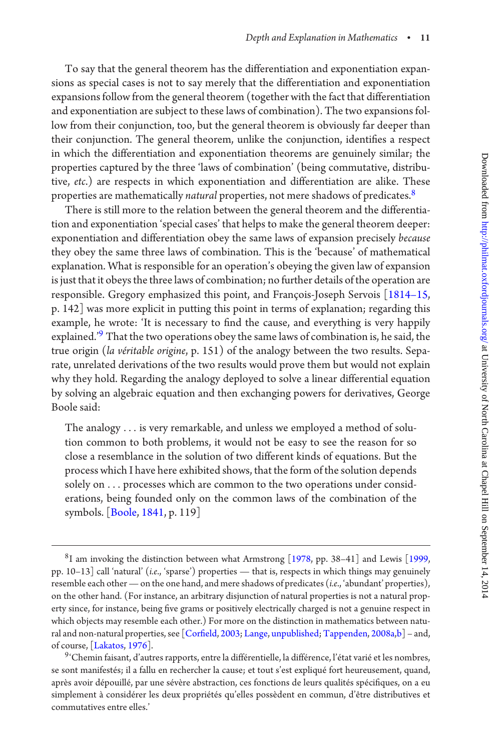To say that the general theorem has the differentiation and exponentiation expansions as special cases is not to say merely that the differentiation and exponentiation expansions follow from the general theorem (together with the fact that differentiation and exponentiation are subject to these laws of combination). The two expansions follow from their conjunction, too, but the general theorem is obviously far deeper than their conjunction. The general theorem, unlike the conjunction, identifies a respect in which the differentiation and exponentiation theorems are genuinely similar; the properties captured by the three 'laws of combination' (being commutative, distributive, *etc*.) are respects in which exponentiation and differentiation are alike. These properties are mathematically *natural* properties, not mere shadows of predicates.[8](#page-10-0)

There is still more to the relation between the general theorem and the differentiation and exponentiation 'special cases' that helps to make the general theorem deeper: exponentiation and differentiation obey the same laws of expansion precisely *because* they obey the same three laws of combination. This is the 'because' of mathematical explanation. What is responsible for an operation's obeying the given law of expansion is just that it obeys the three laws of combination; no further details of the operation are responsible. Gregory emphasized this point, and François-Joseph Servois [\[1814–15](#page-18-6), p. 142] was more explicit in putting this point in terms of explanation; regarding this example, he wrote: 'It is necessary to find the cause, and everything is very happily explained.<sup>'[9](#page-10-1)</sup> That the two operations obey the same laws of combination is, he said, the true origin (*la véritable origine*, p. 151) of the analogy between the two results. Separate, unrelated derivations of the two results would prove them but would not explain why they hold. Regarding the analogy deployed to solve a linear differential equation by solving an algebraic equation and then exchanging powers for derivatives, George Boole said:

The analogy ... is very remarkable, and unless we employed a method of solution common to both problems, it would not be easy to see the reason for so close a resemblance in the solution of two different kinds of equations. But the process which I have here exhibited shows, that the form of the solution depends solely on ... processes which are common to the two operations under considerations, being founded only on the common laws of the combination of the symbols. [\[Boole,](#page-17-9) [1841,](#page-17-9) p. 119]

<span id="page-10-0"></span><sup>8</sup>I am invoking the distinction between what Armstrong [\[1978,](#page-17-10) pp. 38–41] and Lewis [\[1999](#page-18-7), pp. 10–13] call 'natural' (*i.e*., 'sparse') properties — that is, respects in which things may genuinely resemble each other— on the one hand, and mere shadows of predicates (*i.e*., 'abundant' properties), on the other hand. (For instance, an arbitrary disjunction of natural properties is not a natural property since, for instance, being five grams or positively electrically charged is not a genuine respect in which objects may resemble each other.) For more on the distinction in mathematics between natural and non-natural properties, see [\[Corfield,](#page-17-11) [2003](#page-17-11); [Lange,](#page-18-4) [unpublished;](#page-18-4)[Tappenden,](#page-18-8) [2008a](#page-18-8)[,b\]](#page-18-9) – and, of course, [\[Lakatos](#page-17-12), [1976](#page-17-12)].

<span id="page-10-1"></span><sup>9&#</sup>x27;Chemin faisant, d'autres rapports, entre la différentielle, la différence, l'état varié et les nombres, se sont manifestés; il a fallu en rechercher la cause; et tout s'est expliqué fort heureusement, quand, après avoir dépouillé, par une sévère abstraction, ces fonctions de leurs qualités spécifiques, on a eu simplement à considérer les deux propriétés qu'elles possèdent en commun, d'être distributives et commutatives entre elles.'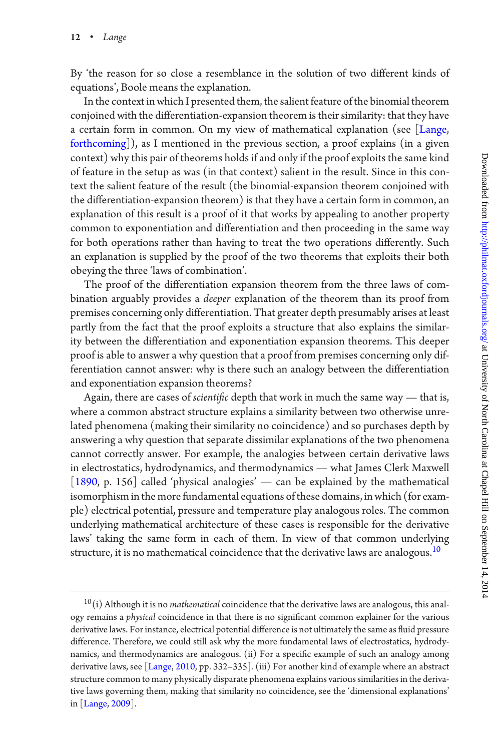By 'the reason for so close a resemblance in the solution of two different kinds of equations', Boole means the explanation.

In the context in which I presented them, the salient feature of the binomial theorem conjoined with the differentiation-expansion theorem is their similarity: that they have a certain form in common. On my view of mathematical explanation (see [\[Lange,](#page-18-0) [forthcoming](#page-18-0)]), as I mentioned in the previous section, a proof explains (in a given context) why this pair of theorems holds if and only if the proof exploits the same kind of feature in the setup as was (in that context) salient in the result. Since in this context the salient feature of the result (the binomial-expansion theorem conjoined with the differentiation-expansion theorem) is that they have a certain form in common, an explanation of this result is a proof of it that works by appealing to another property common to exponentiation and differentiation and then proceeding in the same way for both operations rather than having to treat the two operations differently. Such an explanation is supplied by the proof of the two theorems that exploits their both obeying the three 'laws of combination'.

The proof of the differentiation expansion theorem from the three laws of combination arguably provides a *deeper* explanation of the theorem than its proof from premises concerning only differentiation. That greater depth presumably arises at least partly from the fact that the proof exploits a structure that also explains the similarity between the differentiation and exponentiation expansion theorems. This deeper proof is able to answer a why question that a proof from premises concerning only differentiation cannot answer: why is there such an analogy between the differentiation and exponentiation expansion theorems?

Again, there are cases of *scientific* depth that work in much the same way — that is, where a common abstract structure explains a similarity between two otherwise unrelated phenomena (making their similarity no coincidence) and so purchases depth by answering a why question that separate dissimilar explanations of the two phenomena cannot correctly answer. For example, the analogies between certain derivative laws in electrostatics, hydrodynamics, and thermodynamics — what James Clerk Maxwell [ $1890$ , p. 156] called 'physical analogies' — can be explained by the mathematical isomorphism in the more fundamental equations of these domains, in which (for example) electrical potential, pressure and temperature play analogous roles. The common underlying mathematical architecture of these cases is responsible for the derivative laws' taking the same form in each of them. In view of that common underlying structure, it is no mathematical coincidence that the derivative laws are analogous.<sup>10</sup>

<span id="page-11-0"></span><sup>10(</sup>i) Although it is no *mathematical* coincidence that the derivative laws are analogous, this analogy remains a *physical* coincidence in that there is no significant common explainer for the various derivative laws. For instance, electrical potential difference is not ultimately the same as fluid pressure difference. Therefore, we could still ask why the more fundamental laws of electrostatics, hydrodynamics, and thermodynamics are analogous. (ii) For a specific example of such an analogy among derivative laws, see [\[Lange,](#page-17-2) [2010](#page-17-2), pp. 332–335]. (iii) For another kind of example where an abstract structure commonto many physically disparate phenomena explains various similarities inthe derivative laws governing them, making that similarity no coincidence, see the 'dimensional explanations' in [\[Lange,](#page-17-13) [2009](#page-17-13)].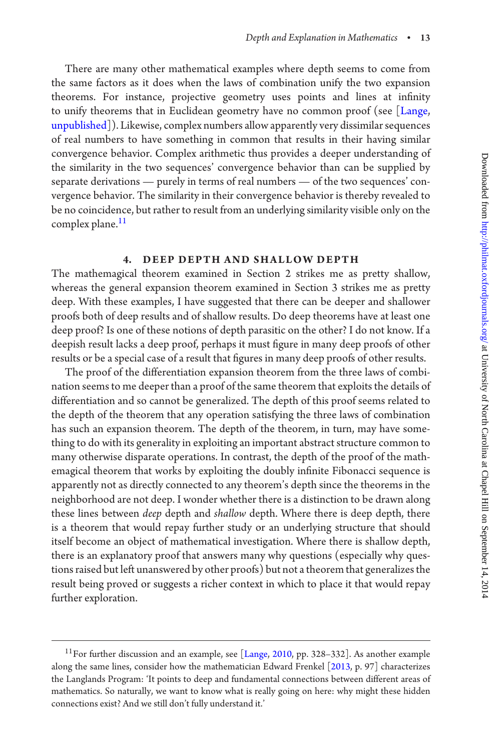There are many other mathematical examples where depth seems to come from the same factors as it does when the laws of combination unify the two expansion theorems. For instance, projective geometry uses points and lines at infinity to unify theorems that in Euclidean geometry have no common proof (see [\[Lange](#page-18-4), [unpublished](#page-18-4)]). Likewise, complex numbers allow apparently very dissimilar sequences of real numbers to have something in common that results in their having similar convergence behavior. Complex arithmetic thus provides a deeper understanding of the similarity in the two sequences' convergence behavior than can be supplied by separate derivations — purely in terms of real numbers — of the two sequences' convergence behavior. The similarity in their convergence behavior is thereby revealed to be no coincidence, but rather to result from an underlying similarity visible only on the complex plane. $^{11}$  $^{11}$  $^{11}$ 

## **4. DEEP DEPTH AND SHALLOW DEPTH**

The mathemagical theorem examined in Section 2 strikes me as pretty shallow, whereas the general expansion theorem examined in Section 3 strikes me as pretty deep. With these examples, I have suggested that there can be deeper and shallower proofs both of deep results and of shallow results. Do deep theorems have at least one deep proof? Is one of these notions of depth parasitic on the other? I do not know. If a deepish result lacks a deep proof, perhaps it must figure in many deep proofs of other results or be a special case of a result that figures in many deep proofs of other results.

The proof of the differentiation expansion theorem from the three laws of combination seems to me deeper than a proof of the same theorem that exploits the details of differentiation and so cannot be generalized. The depth of this proof seems related to the depth of the theorem that any operation satisfying the three laws of combination has such an expansion theorem. The depth of the theorem, in turn, may have something to do with its generality in exploiting an important abstract structure common to many otherwise disparate operations. In contrast, the depth of the proof of the mathemagical theorem that works by exploiting the doubly infinite Fibonacci sequence is apparently not as directly connected to any theorem's depth since the theorems in the neighborhood are not deep. I wonder whether there is a distinction to be drawn along these lines between *deep* depth and *shallow* depth. Where there is deep depth, there is a theorem that would repay further study or an underlying structure that should itself become an object of mathematical investigation. Where there is shallow depth, there is an explanatory proof that answers many why questions (especially why questions raised but left unanswered by other proofs) but not a theorem that generalizes the result being proved or suggests a richer context in which to place it that would repay further exploration.

<span id="page-12-0"></span><sup>&</sup>lt;sup>11</sup>For further discussion and an example, see [\[Lange,](#page-17-2) [2010,](#page-17-2) pp. 328–332]. As another example along the same lines, consider how the mathematician Edward Frenkel [\[2013,](#page-17-14) p. 97] characterizes the Langlands Program: 'It points to deep and fundamental connections between different areas of mathematics. So naturally, we want to know what is really going on here: why might these hidden connections exist? And we still don't fully understand it.'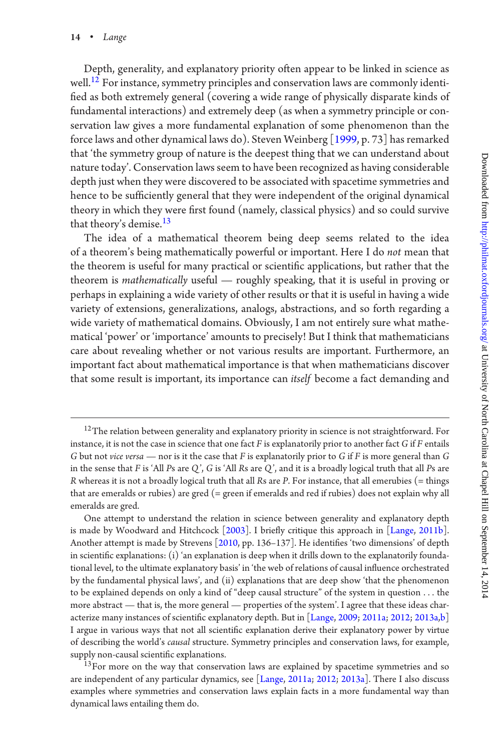Depth, generality, and explanatory priority often appear to be linked in science as well.<sup>12</sup> For instance, symmetry principles and conservation laws are commonly identified as both extremely general (covering a wide range of physically disparate kinds of fundamental interactions) and extremely deep (as when a symmetry principle or conservation law gives a more fundamental explanation of some phenomenon than the force laws and other dynamical laws do). Steven Weinberg [\[1999](#page-18-11), p. 73] has remarked that 'the symmetry group of nature is the deepest thing that we can understand about nature today'. Conservation laws seem to have been recognized as having considerable depth just when they were discovered to be associated with spacetime symmetries and hence to be sufficiently general that they were independent of the original dynamical theory in which they were first found (namely, classical physics) and so could survive that theory's demise.<sup>13</sup>

The idea of a mathematical theorem being deep seems related to the idea of a theorem's being mathematically powerful or important. Here I do *not* mean that the theorem is useful for many practical or scientific applications, but rather that the theorem is *mathematically* useful — roughly speaking, that it is useful in proving or perhaps in explaining a wide variety of other results or that it is useful in having a wide variety of extensions, generalizations, analogs, abstractions, and so forth regarding a wide variety of mathematical domains. Obviously, I am not entirely sure what mathematical 'power' or 'importance' amounts to precisely! But I think that mathematicians care about revealing whether or not various results are important. Furthermore, an important fact about mathematical importance is that when mathematicians discover that some result is important, its importance can *itself* become a fact demanding and

<span id="page-13-1"></span> $13$  For more on the way that conservation laws are explained by spacetime symmetries and so are independent of any particular dynamics, see [\[Lange](#page-17-4), [2011a](#page-17-4); [2012;](#page-18-1) [2013a](#page-18-2)]. There I also discuss examples where symmetries and conservation laws explain facts in a more fundamental way than dynamical laws entailing them do.

<span id="page-13-0"></span><sup>&</sup>lt;sup>12</sup>The relation between generality and explanatory priority in science is not straightforward. For instance, it is not the case in science that one fact *F* is explanatorily prior to another fact *G* if *F* entails *G* but not *vice versa* — nor is it the case that *F* is explanatorily prior to *G* if *F* is more general than *G* in the sense that *F* is 'All *P*s are *Q*', *G* is 'All *R*s are *Q*', and it is a broadly logical truth that all *P*s are *R* whereas it is not a broadly logical truth that all *R*s are *P*. For instance, that all emerubies (= things that are emeralds or rubies) are gred (= green if emeralds and red if rubies) does not explain why all emeralds are gred.

One attempt to understand the relation in science between generality and explanatory depth is made by Woodward and Hitchcock [\[2003\]](#page-18-12). I briefly critique this approach in [\[Lange,](#page-18-13) [2011b\]](#page-18-13). Another attempt is made by Strevens [\[2010](#page-18-14), pp. 136-137]. He identifies 'two dimensions' of depth in scientific explanations: (i) 'an explanation is deep when it drills down to the explanatorily foundational level, to the ultimate explanatory basis' in 'the web of relations of causal influence orchestrated by the fundamental physical laws', and (ii) explanations that are deep show 'that the phenomenon to be explained depends on only a kind of "deep causal structure" of the system in question ... the more abstract — that is, the more general — properties of the system'. I agree that these ideas char-acterize many instances of scientific explanatory depth. But in [\[Lange](#page-17-13), [2009;](#page-17-13) [2011a;](#page-17-4) [2012](#page-18-1); [2013a](#page-18-2)[,b\]](#page-18-15) I argue in various ways that not all scientific explanation derive their explanatory power by virtue of describing the world's *causal* structure. Symmetry principles and conservation laws, for example, supply non-causal scientific explanations.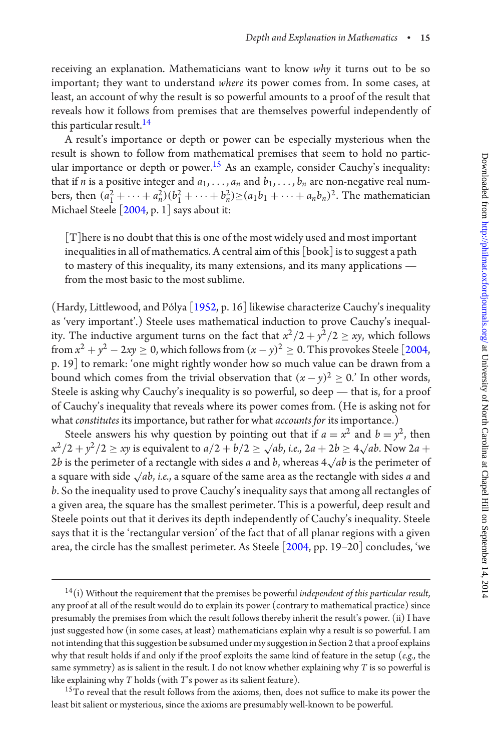receiving an explanation. Mathematicians want to know *why* it turns out to be so important; they want to understand *where* its power comes from. In some cases, at least, an account of why the result is so powerful amounts to a proof of the result that reveals how it follows from premises that are themselves powerful independently of this particular result.<sup>14</sup>

A result's importance or depth or power can be especially mysterious when the result is shown to follow from mathematical premises that seem to hold no partic-ular importance or depth or power.<sup>[15](#page-14-1)</sup> As an example, consider Cauchy's inequality: that if *n* is a positive integer and  $a_1, \ldots, a_n$  and  $b_1, \ldots, b_n$  are non-negative real numbers, then  $(a_1^2 + \cdots + a_n^2)(b_1^2 + \cdots + b_n^2) \ge (a_1b_1 + \cdots + a_nb_n)^2$ . The mathematician Michael Steele [\[2004,](#page-18-16) p. 1] says about it:

[T]here is no doubt that this is one of the most widely used and most important inequalities in all of mathematics. A central aim of this [book] is to suggest a path to mastery of this inequality, its many extensions, and its many applications from the most basic to the most sublime.

(Hardy, Littlewood, and Pólya [\[1952](#page-17-15), p. 16] likewise characterize Cauchy's inequality as 'very important'.) Steele uses mathematical induction to prove Cauchy's inequality. The inductive argument turns on the fact that  $x^2/2 + y^2/2 \geq xy$ , which follows from  $x^2 + y^2 - 2xy \ge 0$ , which follows from  $(x - y)^2 \ge 0$ . This provokes Steele [\[2004](#page-18-16), p. 19] to remark: 'one might rightly wonder how so much value can be drawn from a bound which comes from the trivial observation that  $(x - y)^2 \ge 0$ .' In other words, Steele is asking why Cauchy's inequality is so powerful, so deep — that is, for a proof of Cauchy's inequality that reveals where its power comes from. (He is asking not for what *constitutes* its importance, but rather for what *accounts for* its importance.)

Steele answers his why question by pointing out that if  $a = x^2$  and  $b = y^2$ , then *x*<sup>2</sup>/2 + *y*<sup>2</sup>/2 ≥ *xy* is equivalent to *a*/2 + *b*/2 ≥ √*ab*, *i.e.*, 2*a* + 2*b* ≥ 4√*ab*. Now 2*a* + 2*b* is the perimeter of a rectangle with sides *a* and *b*, whereas 4√*ab* is the perimeter of a square with side <sup>√</sup>*ab*, *i.e.*, a square of the same area as the rectangle with sides *a* and *b*. So the inequality used to prove Cauchy's inequality says that among all rectangles of a given area, the square has the smallest perimeter. This is a powerful, deep result and Steele points out that it derives its depth independently of Cauchy's inequality. Steele says that it is the 'rectangular version' of the fact that of all planar regions with a given area, the circle has the smallest perimeter. As Steele  $[2004, pp. 19-20]$  $[2004, pp. 19-20]$  concludes, 'we

<span id="page-14-0"></span><sup>14(</sup>i) Without the requirement that the premises be powerful *independent of this particular result*, any proof at all of the result would do to explain its power (contrary to mathematical practice) since presumably the premises from which the result follows thereby inherit the result's power. (ii) I have just suggested how (in some cases, at least) mathematicians explain why a result is so powerful. I am not intending that this suggestion be subsumed under my suggestion in Section 2 that a proof explains why that result holds if and only if the proof exploits the same kind of feature in the setup (*e.g.*, the same symmetry) as is salient in the result. I do not know whether explaining why *T* is so powerful is like explaining why *T* holds (with *T*'s power as its salient feature).

<span id="page-14-1"></span><sup>&</sup>lt;sup>15</sup>To reveal that the result follows from the axioms, then, does not suffice to make its power the least bit salient or mysterious, since the axioms are presumably well-known to be powerful.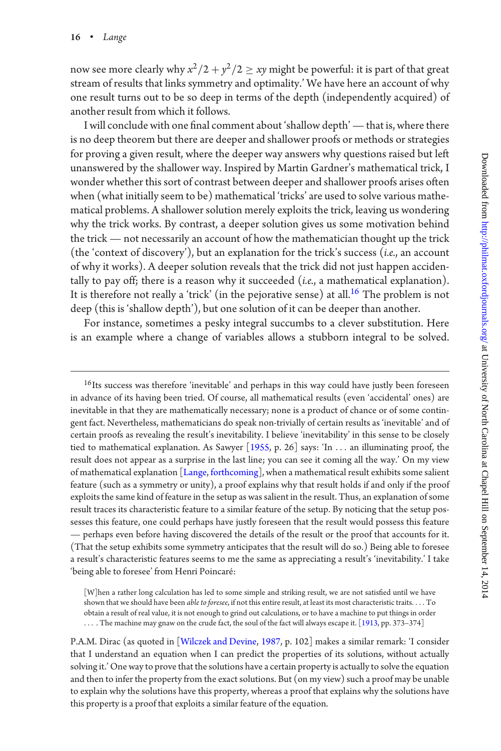now see more clearly why  $x^2/2 + y^2/2 \geq xy$  might be powerful: it is part of that great stream of results that links symmetry and optimality.' We have here an account of why one result turns out to be so deep in terms of the depth (independently acquired) of another result from which it follows.

I will conclude with one final comment about 'shallow depth'— that is, where there is no deep theorem but there are deeper and shallower proofs or methods or strategies for proving a given result, where the deeper way answers why questions raised but left unanswered by the shallower way. Inspired by Martin Gardner's mathematical trick, I wonder whether this sort of contrast between deeper and shallower proofs arises often when (what initially seem to be) mathematical 'tricks' are used to solve various mathematical problems. A shallower solution merely exploits the trick, leaving us wondering why the trick works. By contrast, a deeper solution gives us some motivation behind the trick — not necessarily an account of how the mathematician thought up the trick (the 'context of discovery'), but an explanation for the trick's success (*i.e.*, an account of why it works). A deeper solution reveals that the trick did not just happen accidentally to pay off; there is a reason why it succeeded (*i.e.*, a mathematical explanation). It is therefore not really a 'trick' (in the pejorative sense) at all.<sup>[16](#page-15-0)</sup> The problem is not deep (this is 'shallow depth'), but one solution of it can be deeper than another.

For instance, sometimes a pesky integral succumbs to a clever substitution. Here is an example where a change of variables allows a stubborn integral to be solved.

<span id="page-15-0"></span><sup>16</sup>Its success was therefore 'inevitable' and perhaps in this way could have justly been foreseen in advance of its having been tried. Of course, all mathematical results (even 'accidental' ones) are inevitable in that they are mathematically necessary; none is a product of chance or of some contingent fact. Nevertheless, mathematicians do speak non-trivially of certain results as 'inevitable' and of certain proofs as revealing the result's inevitability. I believe 'inevitability' in this sense to be closely tied to mathematical explanation. As Sawyer [\[1955,](#page-18-17) p. 26] says: 'In ... an illuminating proof, the result does not appear as a surprise in the last line; you can see it coming all the way.' On my view of mathematical explanation [\[Lange,](#page-18-0) [forthcoming](#page-18-0)], when a mathematical result exhibits some salient feature (such as a symmetry or unity), a proof explains why that result holds if and only if the proof exploits the same kind of feature in the setup as was salient in the result. Thus, an explanation of some result traces its characteristic feature to a similar feature of the setup. By noticing that the setup possesses this feature, one could perhaps have justly foreseen that the result would possess this feature — perhaps even before having discovered the details of the result or the proof that accounts for it. (That the setup exhibits some symmetry anticipates that the result will do so.) Being able to foresee a result's characteristic features seems to me the same as appreciating a result's 'inevitability.' I take 'being able to foresee' from Henri Poincaré:

[W]hen a rather long calculation has led to some simple and striking result, we are not satisfied until we have shown that we should have been *able to foresee*, if not this entire result, at least its most characteristic traits. ... To obtain a result of real value, it is not enough to grind out calculations, or to have a machine to put things in order ... . The machine may gnaw on the crude fact, the soul of the fact will always escape it. [\[1913,](#page-18-18) pp. 373–374]

P.A.M. Dirac (as quoted in [\[Wilczek and Devine,](#page-18-19) [1987,](#page-18-19) p. 102] makes a similar remark: 'I consider that I understand an equation when I can predict the properties of its solutions, without actually solving it.' One way to prove that the solutions have a certain property is actually to solve the equation and then to infer the property from the exact solutions. But (on my view) such a proof may be unable to explain why the solutions have this property, whereas a proof that explains why the solutions have this property is a proof that exploits a similar feature of the equation.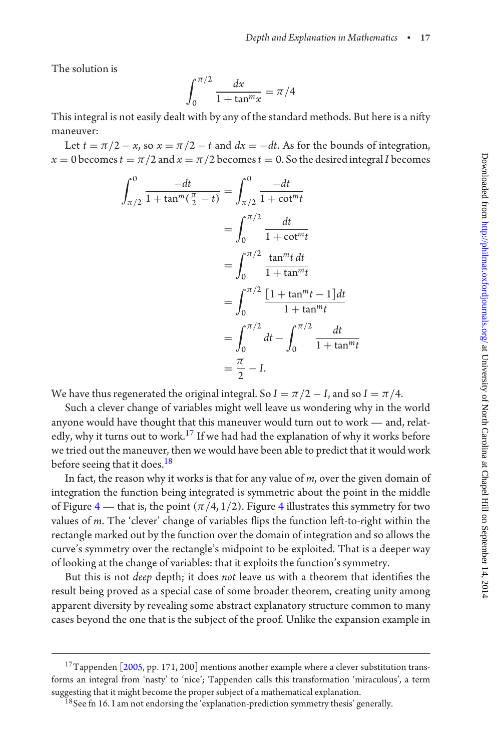The solution is

$$
\int_0^{\pi/2} \frac{dx}{1 + \tan^m x} = \pi/4
$$

This integral is not easily dealt with by any of the standard methods. But here is a nifty maneuver:

Let  $t = \pi/2 - x$ , so  $x = \pi/2 - t$  and  $dx = -dt$ . As for the bounds of integration,  $x = 0$  becomes  $t = \pi/2$  and  $x = \pi/2$  becomes  $t = 0$ . So the desired integral *I* becomes

$$
\int_{\pi/2}^{0} \frac{-dt}{1 + \tan^{m}(\frac{\pi}{2} - t)} = \int_{\pi/2}^{0} \frac{-dt}{1 + \cot^{m}t}
$$
\n
$$
= \int_{0}^{\pi/2} \frac{dt}{1 + \cot^{m}t}
$$
\n
$$
= \int_{0}^{\pi/2} \frac{\tan^{m}t \, dt}{1 + \tan^{m}t}
$$
\n
$$
= \int_{0}^{\pi/2} \frac{[1 + \tan^{m}t - 1]dt}{1 + \tan^{m}t}
$$
\n
$$
= \int_{0}^{\pi/2} dt - \int_{0}^{\pi/2} \frac{dt}{1 + \tan^{m}t}
$$
\n
$$
= \frac{\pi}{2} - I.
$$

We have thus regenerated the original integral. So  $I = \pi/2 - I$ , and so  $I = \pi/4$ .

Such a clever change of variables might well leave us wondering why in the world anyone would have thought that this maneuver would turn out to work — and, relatedly, why it turns out to work.<sup>17</sup> If we had had the explanation of why it works before we tried out the maneuver, then we would have been able to predict that it would work before seeing that it does.<sup>18</sup>

In fact, the reason why it works is that for any value of *m*, over the given domain of integration the function being integrated is symmetric about the point in the middle of Figure [4](#page-17-16) — that is, the point  $(\pi/4, 1/2)$ . Figure 4 illustrates this symmetry for two values of *m*. The 'clever' change of variables flips the function left-to-right within the rectangle marked out by the function over the domain of integration and so allows the curve's symmetry over the rectangle's midpoint to be exploited. That is a deeper way of looking at the change of variables: that it exploits the function's symmetry.

But this is not *deep* depth; it does *not* leave us with a theorem that identifies the result being proved as a special case of some broader theorem, creating unity among apparent diversity by revealing some abstract explanatory structure common to many cases beyond the one that is the subject of the proof. Unlike the expansion example in

<span id="page-16-0"></span><sup>&</sup>lt;sup>17</sup>Tappenden [\[2005](#page-18-20), pp. 171, 200] mentions another example where a clever substitution transforms an integral from 'nasty' to 'nice'; Tappenden calls this transformation 'miraculous', a term suggesting that it might become the proper subject of a mathematical explanation.

<span id="page-16-1"></span> $18$  See fn 16. I am not endorsing the 'explanation-prediction symmetry thesis' generally.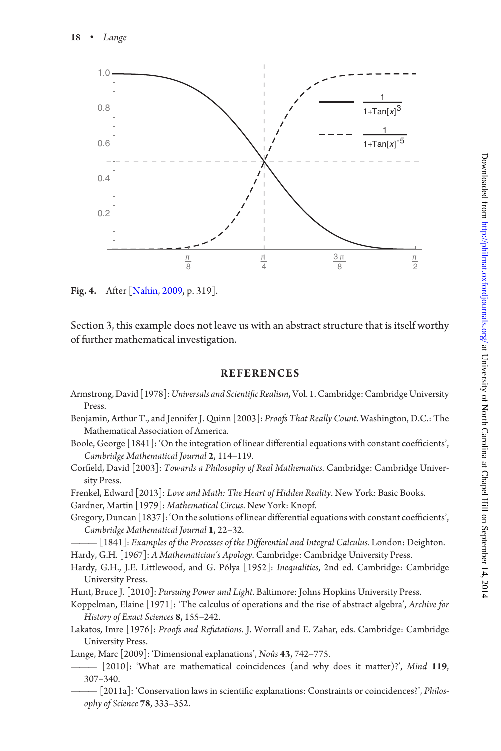

<span id="page-17-16"></span>Fig. 4. After [\[Nahin](#page-18-21), [2009](#page-18-21), p. 319].

Section 3, this example does not leave us with an abstract structure that is itself worthy of further mathematical investigation.

## **REFERENCES**

- <span id="page-17-10"></span>Armstrong, David [1978]:*Universals and Scientific Realism*, Vol. 1. Cambridge: Cambridge University Press.
- <span id="page-17-3"></span>Benjamin, Arthur T., and Jennifer J. Quinn [2003]: *Proofs That Really Count*. Washington, D.C.: The Mathematical Association of America.
- <span id="page-17-9"></span>Boole, George [1841]: 'On the integration of linear differential equations with constant coefficients', *Cambridge Mathematical Journal* **2**, 114–119.
- <span id="page-17-11"></span>Corfield, David [2003]: *Towards a Philosophy of Real Mathematics*. Cambridge: Cambridge University Press.
- <span id="page-17-14"></span>Frenkel, Edward [2013]: *Love and Math: The Heart of Hidden Reality*. New York: Basic Books.

<span id="page-17-1"></span>Gardner, Martin [1979]: *Mathematical Circus*. New York: Knopf.

<span id="page-17-8"></span>Gregory, Duncan [1837]: 'Onthe solutions of linear differential equations with constant coefficients', *Cambridge Mathematical Journal* **1**, 22–32.

<span id="page-17-7"></span>——— [1841]: *Examples of the Processes of the Differential and Integral Calculus.* London: Deighton. Hardy, G.H. [1967]: *A Mathematician's Apology*. Cambridge: Cambridge University Press.

- <span id="page-17-15"></span><span id="page-17-0"></span>Hardy, G.H., J.E. Littlewood, and G. Pólya [1952]: *Inequalities*, 2nd ed. Cambridge: Cambridge University Press.
- <span id="page-17-5"></span>Hunt, Bruce J. [2010]: *Pursuing Power and Light*. Baltimore: Johns Hopkins University Press.
- <span id="page-17-6"></span>Koppelman, Elaine [1971]: 'The calculus of operations and the rise of abstract algebra', *Archive for History of Exact Sciences* **8**, 155–242.
- <span id="page-17-12"></span>Lakatos, Imre [1976]: *Proofs and Refutations*. J. Worrall and E. Zahar, eds. Cambridge: Cambridge University Press.
- <span id="page-17-13"></span>Lange, Marc [2009]: 'Dimensional explanations', *Noûs* **43**, 742–775.
- <span id="page-17-2"></span>——— [2010]: 'What are mathematical coincidences (and why does it matter)?', *Mind* **119**, 307–340.
- <span id="page-17-4"></span>——— [2011a]: 'Conservation laws in scientific explanations: Constraints or coincidences?', *Philosophy of Science* **78**, 333–352.